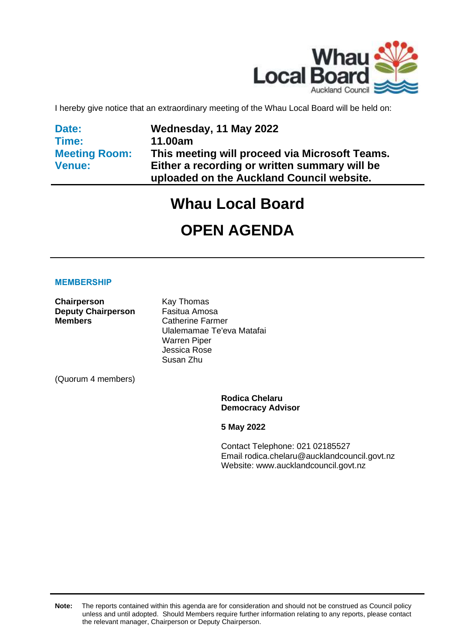

I hereby give notice that an extraordinary meeting of the Whau Local Board will be held on:

**Date: Time: Meeting Room: Venue:**

**Wednesday, 11 May 2022 11.00am This meeting will proceed via Microsoft Teams. Either a recording or written summary will be uploaded on the Auckland Council website.**

# **Whau Local Board**

# **OPEN AGENDA**

#### **MEMBERSHIP**

**Chairperson** Kay Thomas **Deputy Chairperson** Fasitua Amosa **Members** Catherine Farmer

Ulalemamae Te'eva Matafai Warren Piper Jessica Rose Susan Zhu

(Quorum 4 members)

**Rodica Chelaru Democracy Advisor**

**5 May 2022**

Contact Telephone: 021 02185527 Email: rodica.chelaru@aucklandcouncil.govt.nz Website: www.aucklandcouncil.govt.nz

**Note:** The reports contained within this agenda are for consideration and should not be construed as Council policy unless and until adopted. Should Members require further information relating to any reports, please contact the relevant manager, Chairperson or Deputy Chairperson.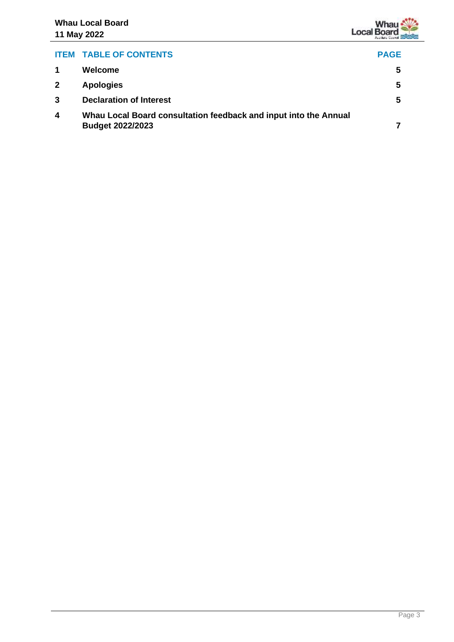## **ITEM TABLE OF CONTENTS PAGE 1 Welcome [5](#page-4-0) 2 Apologies [5](#page-4-1) 3 Declaration of Interest [5](#page-4-2) 4 Whau Local Board consultation feedback and input into the Annual Budget 2022/2023 [7](#page-6-0)**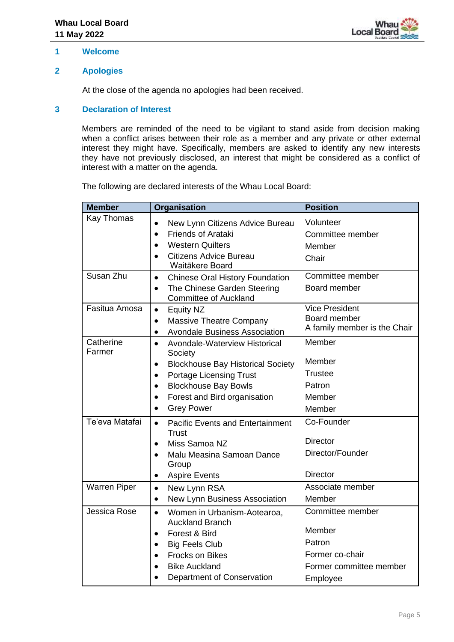

#### <span id="page-4-0"></span>**1 Welcome**

#### <span id="page-4-1"></span>**2 Apologies**

At the close of the agenda no apologies had been received.

#### <span id="page-4-2"></span>**3 Declaration of Interest**

Members are reminded of the need to be vigilant to stand aside from decision making when a conflict arises between their role as a member and any private or other external interest they might have. Specifically, members are asked to identify any new interests they have not previously disclosed, an interest that might be considered as a conflict of interest with a matter on the agenda.

The following are declared interests of the Whau Local Board:

| <b>Member</b>       | <b>Organisation</b>                                                                              | <b>Position</b>                              |
|---------------------|--------------------------------------------------------------------------------------------------|----------------------------------------------|
| Kay Thomas          | New Lynn Citizens Advice Bureau<br><b>Friends of Arataki</b><br>$\bullet$                        | Volunteer<br>Committee member                |
|                     | <b>Western Quilters</b><br>$\bullet$<br><b>Citizens Advice Bureau</b><br>$\bullet$               | Member<br>Chair                              |
|                     | Waitākere Board                                                                                  |                                              |
| Susan Zhu           | <b>Chinese Oral History Foundation</b><br>$\bullet$                                              | Committee member                             |
|                     | The Chinese Garden Steering<br>$\bullet$<br><b>Committee of Auckland</b>                         | Board member                                 |
| Fasitua Amosa       | <b>Equity NZ</b><br>$\bullet$                                                                    | <b>Vice President</b>                        |
|                     | <b>Massive Theatre Company</b><br>$\bullet$<br><b>Avondale Business Association</b><br>$\bullet$ | Board member<br>A family member is the Chair |
| Catherine<br>Farmer | Avondale-Waterview Historical<br>$\bullet$<br>Society                                            | Member                                       |
|                     | <b>Blockhouse Bay Historical Society</b><br>$\bullet$                                            | Member                                       |
|                     | <b>Portage Licensing Trust</b><br>$\bullet$                                                      | <b>Trustee</b>                               |
|                     | <b>Blockhouse Bay Bowls</b><br>$\bullet$                                                         | Patron                                       |
|                     | Forest and Bird organisation<br>$\bullet$                                                        | Member                                       |
|                     | <b>Grey Power</b><br>$\bullet$                                                                   | Member                                       |
| Te'eva Matafai      | <b>Pacific Events and Entertainment</b><br>$\bullet$<br><b>Trust</b>                             | Co-Founder                                   |
|                     | Miss Samoa NZ                                                                                    | <b>Director</b>                              |
|                     | Malu Measina Samoan Dance<br>Group                                                               | Director/Founder                             |
|                     | <b>Aspire Events</b><br>$\bullet$                                                                | <b>Director</b>                              |
| <b>Warren Piper</b> | New Lynn RSA<br>$\bullet$                                                                        | Associate member                             |
|                     | New Lynn Business Association<br>$\bullet$                                                       | Member                                       |
| Jessica Rose        | Women in Urbanism-Aotearoa,<br>$\bullet$<br><b>Auckland Branch</b>                               | Committee member                             |
|                     | Forest & Bird<br>$\bullet$                                                                       | Member                                       |
|                     | <b>Big Feels Club</b>                                                                            | Patron                                       |
|                     | Frocks on Bikes<br>$\bullet$                                                                     | Former co-chair                              |
|                     | <b>Bike Auckland</b>                                                                             | Former committee member                      |
|                     | Department of Conservation                                                                       | Employee                                     |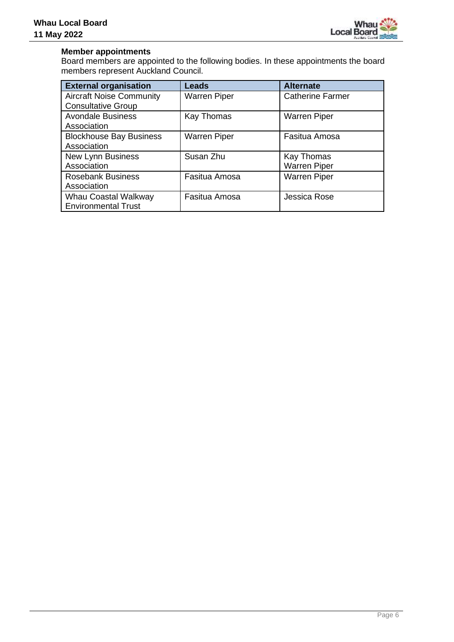

#### **Member appointments**

Board members are appointed to the following bodies. In these appointments the board members represent Auckland Council.

| <b>External organisation</b>    | <b>Leads</b>        | <b>Alternate</b>        |
|---------------------------------|---------------------|-------------------------|
| <b>Aircraft Noise Community</b> | <b>Warren Piper</b> | <b>Catherine Farmer</b> |
| <b>Consultative Group</b>       |                     |                         |
| <b>Avondale Business</b>        | Kay Thomas          | <b>Warren Piper</b>     |
| Association                     |                     |                         |
| <b>Blockhouse Bay Business</b>  | <b>Warren Piper</b> | Fasitua Amosa           |
| Association                     |                     |                         |
| <b>New Lynn Business</b>        | Susan Zhu           | Kay Thomas              |
| Association                     |                     | <b>Warren Piper</b>     |
| <b>Rosebank Business</b>        | Fasitua Amosa       | <b>Warren Piper</b>     |
| Association                     |                     |                         |
| Whau Coastal Walkway            | Fasitua Amosa       | Jessica Rose            |
| <b>Environmental Trust</b>      |                     |                         |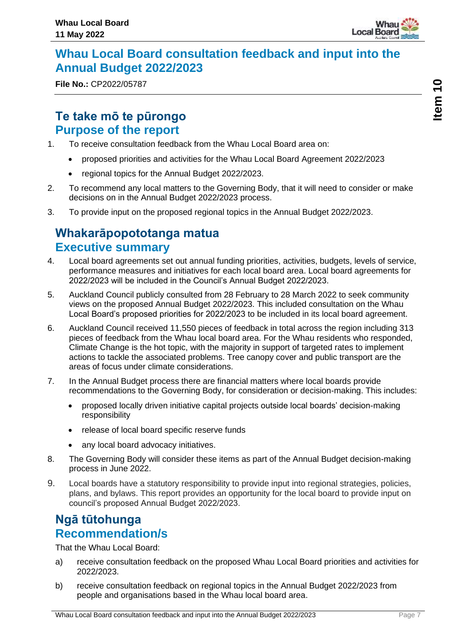

## <span id="page-6-0"></span>**Whau Local Board consultation feedback and input into the Annual Budget 2022/2023**

**File No.:** CP2022/05787

## **Te take mō te pūrongo Purpose of the report**

- 1. To receive consultation feedback from the Whau Local Board area on:
	- proposed priorities and activities for the Whau Local Board Agreement 2022/2023
	- regional topics for the Annual Budget 2022/2023.
- 2. To recommend any local matters to the Governing Body, that it will need to consider or make decisions on in the Annual Budget 2022/2023 process.
- 3. To provide input on the proposed regional topics in the Annual Budget 2022/2023.

## **Whakarāpopototanga matua Executive summary**

- 4. Local board agreements set out annual funding priorities, activities, budgets, levels of service, performance measures and initiatives for each local board area. Local board agreements for 2022/2023 will be included in the Council's Annual Budget 2022/2023.
- 5. Auckland Council publicly consulted from 28 February to 28 March 2022 to seek community views on the proposed Annual Budget 2022/2023. This included consultation on the Whau Local Board's proposed priorities for 2022/2023 to be included in its local board agreement.
- 6. Auckland Council received 11,550 pieces of feedback in total across the region including 313 pieces of feedback from the Whau local board area. For the Whau residents who responded, Climate Change is the hot topic, with the majority in support of targeted rates to implement actions to tackle the associated problems. Tree canopy cover and public transport are the areas of focus under climate considerations.
- 7. In the Annual Budget process there are financial matters where local boards provide recommendations to the Governing Body, for consideration or decision-making. This includes:
	- proposed locally driven initiative capital projects outside local boards' decision-making responsibility
	- release of local board specific reserve funds
	- any local board advocacy initiatives.
- 8. The Governing Body will consider these items as part of the Annual Budget decision-making process in June 2022.
- 9. Local boards have a statutory responsibility to provide input into regional strategies, policies, plans, and bylaws. This report provides an opportunity for the local board to provide input on council's proposed Annual Budget 2022/2023.

## **Ngā tūtohunga Recommendation/s**

That the Whau Local Board:

- a) receive consultation feedback on the proposed Whau Local Board priorities and activities for 2022/2023.
- b) receive consultation feedback on regional topics in the Annual Budget 2022/2023 from people and organisations based in the Whau local board area.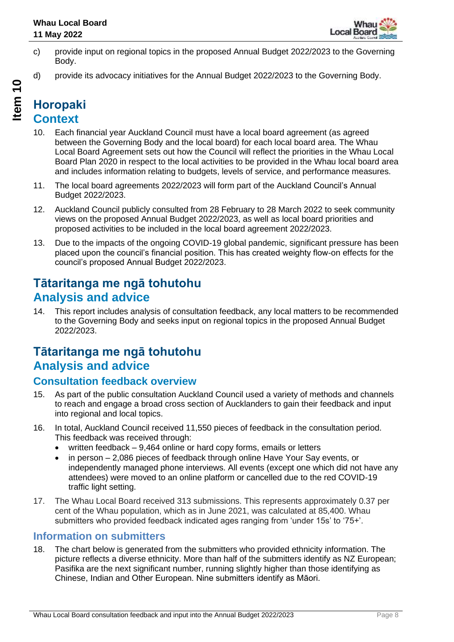

- c) provide input on regional topics in the proposed Annual Budget 2022/2023 to the Governing Body.
- d) provide its advocacy initiatives for the Annual Budget 2022/2023 to the Governing Body.

- 10. Each financial year Auckland Council must have a local board agreement (as agreed between the Governing Body and the local board) for each local board area. The Whau Local Board Agreement sets out how the Council will reflect the priorities in the Whau Local Board Plan 2020 in respect to the local activities to be provided in the Whau local board area and includes information relating to budgets, levels of service, and performance measures.
- 11. The local board agreements 2022/2023 will form part of the Auckland Council's Annual Budget 2022/2023.
- 12. Auckland Council publicly consulted from 28 February to 28 March 2022 to seek community views on the proposed Annual Budget 2022/2023, as well as local board priorities and proposed activities to be included in the local board agreement 2022/2023.
- 13. Due to the impacts of the ongoing COVID-19 global pandemic, significant pressure has been placed upon the council's financial position. This has created weighty flow-on effects for the council's proposed Annual Budget 2022/2023.

## **Tātaritanga me ngā tohutohu Analysis and advice**

14. This report includes analysis of consultation feedback, any local matters to be recommended to the Governing Body and seeks input on regional topics in the proposed Annual Budget 2022/2023.

## **Tātaritanga me ngā tohutohu Analysis and advice**

### **Consultation feedback overview**

- 15. As part of the public consultation Auckland Council used a variety of methods and channels to reach and engage a broad cross section of Aucklanders to gain their feedback and input into regional and local topics.
- 16. In total, Auckland Council received 11,550 pieces of feedback in the consultation period. This feedback was received through:
	- written feedback 9,464 online or hard copy forms, emails or letters
	- in person 2,086 pieces of feedback through online Have Your Sav events, or independently managed phone interviews. All events (except one which did not have any attendees) were moved to an online platform or cancelled due to the red COVID-19 traffic light setting.
- 17. The Whau Local Board received 313 submissions. This represents approximately 0.37 per cent of the Whau population, which as in June 2021, was calculated at 85,400. Whau submitters who provided feedback indicated ages ranging from 'under 15s' to '75+'.

### **Information on submitters**

18. The chart below is generated from the submitters who provided ethnicity information. The picture reflects a diverse ethnicity. More than half of the submitters identify as NZ European; Pasifika are the next significant number, running slightly higher than those identifying as Chinese, Indian and Other European. Nine submitters identify as Māori.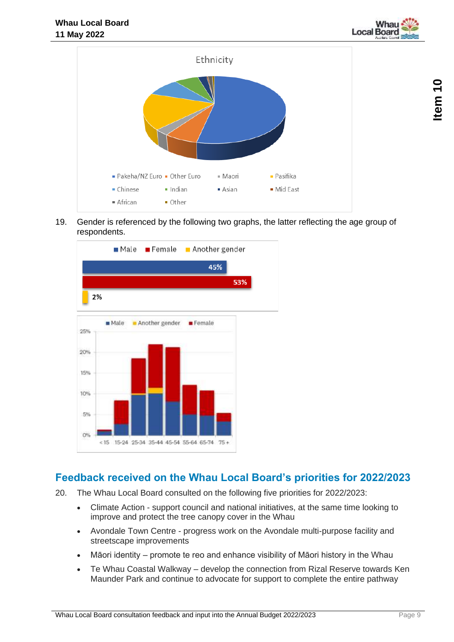



19. Gender is referenced by the following two graphs, the latter reflecting the age group of respondents.



### **Feedback received on the Whau Local Board's priorities for 2022/2023**

- 20. The Whau Local Board consulted on the following five priorities for 2022/2023:
	- Climate Action support council and national initiatives, at the same time looking to improve and protect the tree canopy cover in the Whau
	- Avondale Town Centre progress work on the Avondale multi-purpose facility and streetscape improvements
	- Māori identity promote te reo and enhance visibility of Māori history in the Whau
	- Te Whau Coastal Walkway develop the connection from Rizal Reserve towards Ken Maunder Park and continue to advocate for support to complete the entire pathway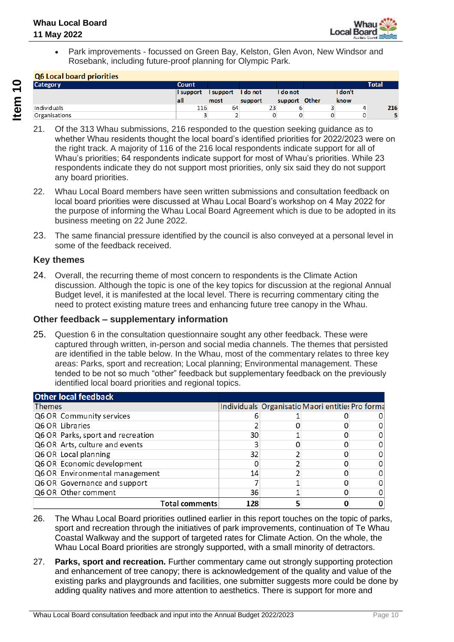

• Park improvements - focussed on Green Bay, Kelston, Glen Avon, New Windsor and Rosebank, including future-proof planning for Olympic Park.

#### O6 Local board priorities

| <b>QUEDCAT DUATA PITOITLES</b> |           |                    |         |               |         |       |
|--------------------------------|-----------|--------------------|---------|---------------|---------|-------|
| <b>Category</b>                | Count     |                    |         |               |         | Total |
|                                | I support | I support I do not |         | I do not      | I don't |       |
|                                | lall      | most               | support | support Other | know    |       |
| Individuals                    | 116       | 64                 | 23      |               | 4       | 216   |
| Organisations                  |           |                    |         |               |         |       |

- 21. Of the 313 Whau submissions, 216 responded to the question seeking guidance as to whether Whau residents thought the local board's identified priorities for 2022/2023 were on the right track. A majority of 116 of the 216 local respondents indicate support for all of Whau's priorities; 64 respondents indicate support for most of Whau's priorities. While 23 respondents indicate they do not support most priorities, only six said they do not support any board priorities.
- 22. Whau Local Board members have seen written submissions and consultation feedback on local board priorities were discussed at Whau Local Board's workshop on 4 May 2022 for the purpose of informing the Whau Local Board Agreement which is due to be adopted in its business meeting on 22 June 2022.
- 23. The same financial pressure identified by the council is also conveyed at a personal level in some of the feedback received.

#### **Key themes**

24. Overall, the recurring theme of most concern to respondents is the Climate Action discussion. Although the topic is one of the key topics for discussion at the regional Annual Budget level, it is manifested at the local level. There is recurring commentary citing the need to protect existing mature trees and enhancing future tree canopy in the Whau.

#### **Other feedback – supplementary information**

25. Question 6 in the consultation questionnaire sought any other feedback. These were captured through written, in-person and social media channels. The themes that persisted are identified in the table below. In the Whau, most of the commentary relates to three key areas: Parks, sport and recreation; Local planning; Environmental management. These tended to be not so much "other" feedback but supplementary feedback on the previously identified local board priorities and regional topics.

| <b>Other local feedback</b>       |     |                                                  |  |
|-----------------------------------|-----|--------------------------------------------------|--|
| Themes                            |     | Individuals Organisatio Maori entities Pro forma |  |
| Q6 OR Community services          |     |                                                  |  |
| Q6 OR Libraries                   |     |                                                  |  |
| Q6 OR Parks, sport and recreation | 30  |                                                  |  |
| Q6 OR Arts, culture and events    |     |                                                  |  |
| Q6 OR Local planning              | 32  |                                                  |  |
| Q6 OR Economic development        |     |                                                  |  |
| Q6 OR Environmental management    | 14  |                                                  |  |
| Q6 OR Governance and support      |     |                                                  |  |
| Q6 OR Other comment               | 36  |                                                  |  |
| <b>Total comments</b>             | 128 |                                                  |  |

- 26. The Whau Local Board priorities outlined earlier in this report touches on the topic of parks, sport and recreation through the initiatives of park improvements, continuation of Te Whau Coastal Walkway and the support of targeted rates for Climate Action. On the whole, the Whau Local Board priorities are strongly supported, with a small minority of detractors.
- 27. **Parks, sport and recreation.** Further commentary came out strongly supporting protection and enhancement of tree canopy; there is acknowledgement of the quality and value of the existing parks and playgrounds and facilities, one submitter suggests more could be done by adding quality natives and more attention to aesthetics. There is support for more and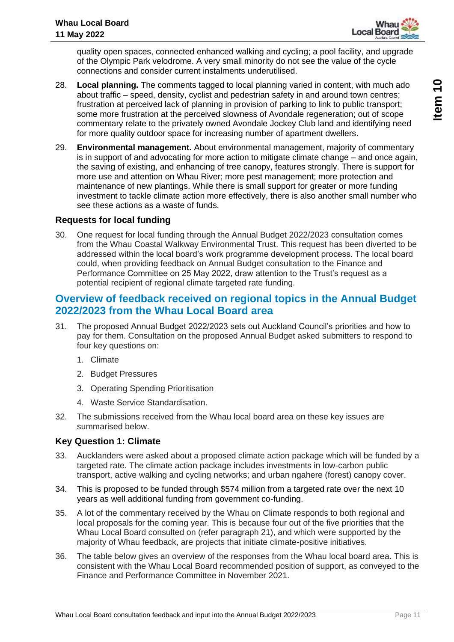

quality open spaces, connected enhanced walking and cycling; a pool facility, and upgrade of the Olympic Park velodrome. A very small minority do not see the value of the cycle connections and consider current instalments underutilised.

- 28. **Local planning.** The comments tagged to local planning varied in content, with much ado about traffic – speed, density, cyclist and pedestrian safety in and around town centres; frustration at perceived lack of planning in provision of parking to link to public transport; some more frustration at the perceived slowness of Avondale regeneration; out of scope commentary relate to the privately owned Avondale Jockey Club land and identifying need for more quality outdoor space for increasing number of apartment dwellers.
- 29. **Environmental management.** About environmental management, majority of commentary is in support of and advocating for more action to mitigate climate change – and once again, the saving of existing, and enhancing of tree canopy, features strongly. There is support for more use and attention on Whau River; more pest management; more protection and maintenance of new plantings. While there is small support for greater or more funding investment to tackle climate action more effectively, there is also another small number who see these actions as a waste of funds.

#### **Requests for local funding**

30. One request for local funding through the Annual Budget 2022/2023 consultation comes from the Whau Coastal Walkway Environmental Trust. This request has been diverted to be addressed within the local board's work programme development process. The local board could, when providing feedback on Annual Budget consultation to the Finance and Performance Committee on 25 May 2022, draw attention to the Trust's request as a potential recipient of regional climate targeted rate funding.

### **Overview of feedback received on regional topics in the Annual Budget 2022/2023 from the Whau Local Board area**

- 31. The proposed Annual Budget 2022/2023 sets out Auckland Council's priorities and how to pay for them. Consultation on the proposed Annual Budget asked submitters to respond to four key questions on:
	- 1. Climate
	- 2. Budget Pressures
	- 3. Operating Spending Prioritisation
	- 4. Waste Service Standardisation.
- 32. The submissions received from the Whau local board area on these key issues are summarised below.

#### **Key Question 1: Climate**

- 33. Aucklanders were asked about a proposed climate action package which will be funded by a targeted rate. The climate action package includes investments in low-carbon public transport, active walking and cycling networks; and urban ngahere (forest) canopy cover.
- 34. This is proposed to be funded through \$574 million from a targeted rate over the next 10 years as well additional funding from government co-funding.
- 35. A lot of the commentary received by the Whau on Climate responds to both regional and local proposals for the coming year. This is because four out of the five priorities that the Whau Local Board consulted on (refer paragraph 21), and which were supported by the majority of Whau feedback, are projects that initiate climate-positive initiatives.
- 36. The table below gives an overview of the responses from the Whau local board area. This is consistent with the Whau Local Board recommended position of support, as conveyed to the Finance and Performance Committee in November 2021.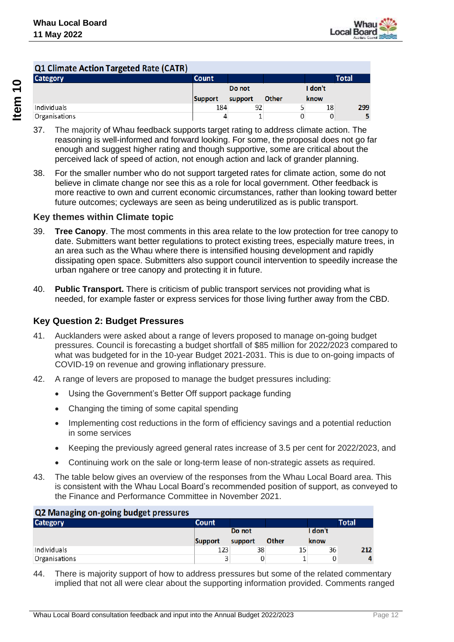

| Q1 Climate Action Targeted Rate (CATR) |              |         |       |         |       |
|----------------------------------------|--------------|---------|-------|---------|-------|
| <b>Category</b>                        | <b>Count</b> |         |       |         | Total |
|                                        |              | Do not  |       | I don't |       |
|                                        | Support      | support | Other | know    |       |
| Individuals                            | 184          | 92      |       | 18      | 299   |
| Organisations                          |              |         |       |         | 5     |

- 37. The majority of Whau feedback supports target rating to address climate action. The reasoning is well-informed and forward looking. For some, the proposal does not go far enough and suggest higher rating and though supportive, some are critical about the perceived lack of speed of action, not enough action and lack of grander planning.
- 38. For the smaller number who do not support targeted rates for climate action, some do not believe in climate change nor see this as a role for local government. Other feedback is more reactive to own and current economic circumstances, rather than looking toward better future outcomes; cycleways are seen as being underutilized as is public transport.

#### **Key themes within Climate topic**

- 39. **Tree Canopy**. The most comments in this area relate to the low protection for tree canopy to date. Submitters want better regulations to protect existing trees, especially mature trees, in an area such as the Whau where there is intensified housing development and rapidly dissipating open space. Submitters also support council intervention to speedily increase the urban ngahere or tree canopy and protecting it in future.
- 40. **Public Transport.** There is criticism of public transport services not providing what is needed, for example faster or express services for those living further away from the CBD.

#### **Key Question 2: Budget Pressures**

- 41. Aucklanders were asked about a range of levers proposed to manage on-going budget pressures. Council is forecasting a budget shortfall of \$85 million for 2022/2023 compared to what was budgeted for in the 10-year Budget 2021-2031. This is due to on-going impacts of COVID-19 on revenue and growing inflationary pressure.
- 42. A range of levers are proposed to manage the budget pressures including:
	- Using the Government's Better Off support package funding
	- Changing the timing of some capital spending
	- Implementing cost reductions in the form of efficiency savings and a potential reduction in some services
	- Keeping the previously agreed general rates increase of 3.5 per cent for 2022/2023, and
	- Continuing work on the sale or long-term lease of non-strategic assets as required.
- 43. The table below gives an overview of the responses from the Whau Local Board area. This is consistent with the Whau Local Board's recommended position of support, as conveyed to the Finance and Performance Committee in November 2021.

| Q2 Managing on-going budget pressures |              |         |       |         |              |
|---------------------------------------|--------------|---------|-------|---------|--------------|
| <b>Category</b>                       | <b>Count</b> |         |       |         | <b>Total</b> |
|                                       |              | Do not  |       | I don't |              |
|                                       | Support      | support | Other | know    |              |
| Individuals                           | 123          | 38      | 15    | 36      | 212          |
| Organisations                         |              |         |       | 0       | 4            |

44. There is majority support of how to address pressures but some of the related commentary implied that not all were clear about the supporting information provided. Comments ranged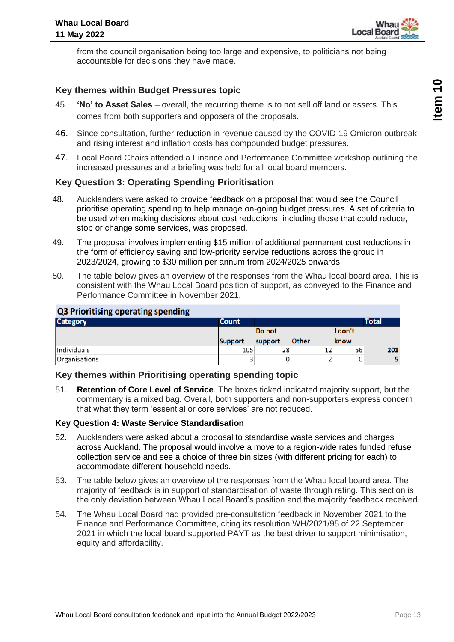

from the council organisation being too large and expensive, to politicians not being accountable for decisions they have made.

#### **Key themes within Budget Pressures topic**

- 45. **'No' to Asset Sales** overall, the recurring theme is to not sell off land or assets. This comes from both supporters and opposers of the proposals.
- 46. Since consultation, further reduction in revenue caused by the COVID-19 Omicron outbreak and rising interest and inflation costs has compounded budget pressures.
- 47. Local Board Chairs attended a Finance and Performance Committee workshop outlining the increased pressures and a briefing was held for all local board members.

#### **Key Question 3: Operating Spending Prioritisation**

- 48. Aucklanders were asked to provide feedback on a proposal that would see the Council prioritise operating spending to help manage on-going budget pressures. A set of criteria to be used when making decisions about cost reductions, including those that could reduce, stop or change some services, was proposed.
- 49. The proposal involves implementing \$15 million of additional permanent cost reductions in the form of efficiency saving and low-priority service reductions across the group in 2023/2024, growing to \$30 million per annum from 2024/2025 onwards.
- 50. The table below gives an overview of the responses from the Whau local board area. This is consistent with the Whau Local Board position of support, as conveyed to the Finance and Performance Committee in November 2021.

#### **Q3 Prioritising operating spending**

| <b>Category</b> | <b>Count</b> |         |       |         | <b>Total</b> |
|-----------------|--------------|---------|-------|---------|--------------|
|                 |              | Do not  |       | I don't |              |
|                 | Support      | support | Other | know    |              |
| Individuals     | 105          | 28      | 12    | 56      | 201          |
| Organisations   |              | 0       |       | 0       |              |

#### **Key themes within Prioritising operating spending topic**

51. **Retention of Core Level of Service**. The boxes ticked indicated majority support, but the commentary is a mixed bag. Overall, both supporters and non-supporters express concern that what they term 'essential or core services' are not reduced.

#### **Key Question 4: Waste Service Standardisation**

- 52. Aucklanders were asked about a proposal to standardise waste services and charges across Auckland. The proposal would involve a move to a region-wide rates funded refuse collection service and see a choice of three bin sizes (with different pricing for each) to accommodate different household needs.
- 53. The table below gives an overview of the responses from the Whau local board area. The majority of feedback is in support of standardisation of waste through rating. This section is the only deviation between Whau Local Board's position and the majority feedback received.
- 54. The Whau Local Board had provided pre-consultation feedback in November 2021 to the Finance and Performance Committee, citing its resolution WH/2021/95 of 22 September 2021 in which the local board supported PAYT as the best driver to support minimisation, equity and affordability.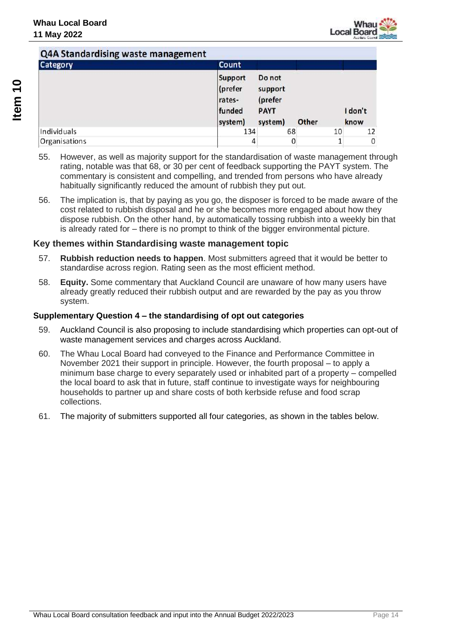

| a the standard and the management<br>Category | Count                                                    |                                                        |       |    |                 |
|-----------------------------------------------|----------------------------------------------------------|--------------------------------------------------------|-------|----|-----------------|
|                                               | <b>Support</b><br>(prefer<br>rates-<br>funded<br>system) | Do not<br>support<br>(prefer<br><b>PAYT</b><br>system) | Other |    | I don't<br>know |
| Individuals                                   | 134                                                      | 68                                                     |       | 10 | 12              |
| Organisations                                 | 4                                                        | 0                                                      |       |    | 0               |

- 55. However, as well as majority support for the standardisation of waste management through rating, notable was that 68, or 30 per cent of feedback supporting the PAYT system. The commentary is consistent and compelling, and trended from persons who have already habitually significantly reduced the amount of rubbish they put out.
- 56. The implication is, that by paying as you go, the disposer is forced to be made aware of the cost related to rubbish disposal and he or she becomes more engaged about how they dispose rubbish. On the other hand, by automatically tossing rubbish into a weekly bin that is already rated for – there is no prompt to think of the bigger environmental picture.

#### **Key themes within Standardising waste management topic**

- 57. **Rubbish reduction needs to happen**. Most submitters agreed that it would be better to standardise across region. Rating seen as the most efficient method.
- 58. **Equity.** Some commentary that Auckland Council are unaware of how many users have already greatly reduced their rubbish output and are rewarded by the pay as you throw system.

#### **Supplementary Question 4 – the standardising of opt out categories**

- 59. Auckland Council is also proposing to include standardising which properties can opt-out of waste management services and charges across Auckland.
- 60. The Whau Local Board had conveyed to the Finance and Performance Committee in November 2021 their support in principle. However, the fourth proposal – to apply a minimum base charge to every separately used or inhabited part of a property – compelled the local board to ask that in future, staff continue to investigate ways for neighbouring households to partner up and share costs of both kerbside refuse and food scrap collections.
- 61. The majority of submitters supported all four categories, as shown in the tables below.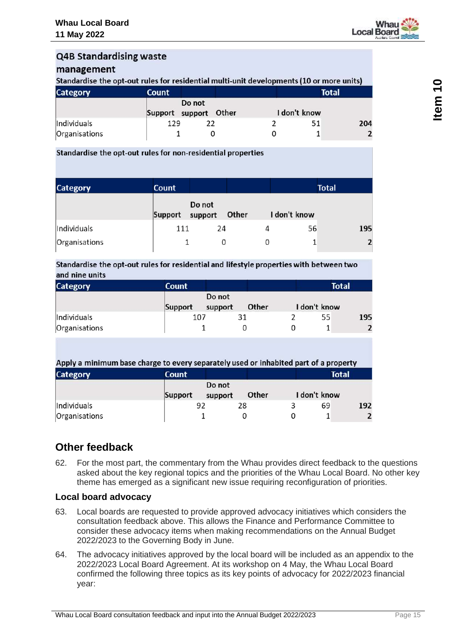

## **Q4B Standardising waste**

#### management

Standardise the opt-out rules for residential multi-unit developments (10 or more units)

| <b>Category</b> | <b>Count</b>                    | <b>Total</b> |
|-----------------|---------------------------------|--------------|
|                 | Do not<br>Support support Other | I don't know |
| Individuals     | 129                             | 204          |
| Organisations   |                                 |              |

#### Standardise the opt-out rules for non-residential properties

| <b>Category</b> | Count   |                   |       |              | <b>Total</b> |
|-----------------|---------|-------------------|-------|--------------|--------------|
|                 | Support | Do not<br>support | Other | I don't know |              |
| Individuals     | 111     | 24                |       | 56           | 195          |
| Organisations   |         |                   |       |              |              |

#### Standardise the opt-out rules for residential and lifestyle properties with between two and nine units

| <b>Category</b> | <b>Count</b> |                   |       | <b>Total</b> |     |
|-----------------|--------------|-------------------|-------|--------------|-----|
|                 | Support      | Do not<br>support | Other | I don't know |     |
| Individuals     | 107          |                   |       | 55           | 195 |
| Organisations   |              |                   |       |              |     |

#### Apply a minimum base charge to every separately used or inhabited part of a property **Category Count Total**

|               | Support | Do not<br>support | Other | I don't know |     |
|---------------|---------|-------------------|-------|--------------|-----|
| Individuals   |         |                   | 28    | 69           | 192 |
| Organisations |         |                   |       |              |     |

## **Other feedback**

62. For the most part, the commentary from the Whau provides direct feedback to the questions asked about the key regional topics and the priorities of the Whau Local Board. No other key theme has emerged as a significant new issue requiring reconfiguration of priorities.

### **Local board advocacy**

- 63. Local boards are requested to provide approved advocacy initiatives which considers the consultation feedback above. This allows the Finance and Performance Committee to consider these advocacy items when making recommendations on the Annual Budget 2022/2023 to the Governing Body in June.
- 64. The advocacy initiatives approved by the local board will be included as an appendix to the 2022/2023 Local Board Agreement. At its workshop on 4 May, the Whau Local Board confirmed the following three topics as its key points of advocacy for 2022/2023 financial year: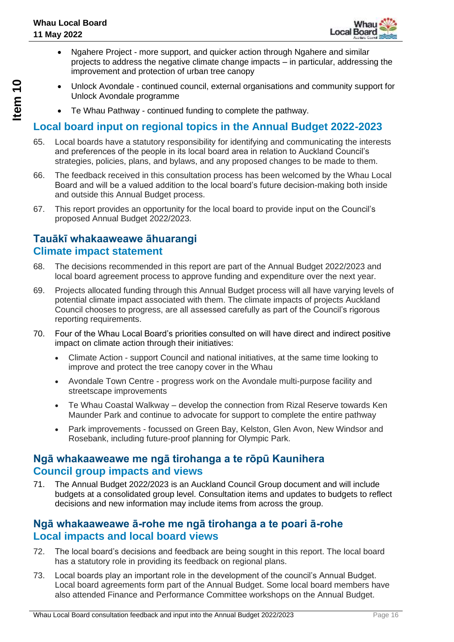

- Ngahere Project more support, and quicker action through Ngahere and similar projects to address the negative climate change impacts – in particular, addressing the improvement and protection of urban tree canopy
- Unlock Avondale continued council, external organisations and community support for Unlock Avondale programme
	- Te Whau Pathway continued funding to complete the pathway.

### **Local board input on regional topics in the Annual Budget 2022-2023**

- 65. Local boards have a statutory responsibility for identifying and communicating the interests and preferences of the people in its local board area in relation to Auckland Council's strategies, policies, plans, and bylaws, and any proposed changes to be made to them.
- 66. The feedback received in this consultation process has been welcomed by the Whau Local Board and will be a valued addition to the local board's future decision-making both inside and outside this Annual Budget process.
- 67. This report provides an opportunity for the local board to provide input on the Council's proposed Annual Budget 2022/2023.

### **Tauākī whakaaweawe āhuarangi Climate impact statement**

- 68. The decisions recommended in this report are part of the Annual Budget 2022/2023 and local board agreement process to approve funding and expenditure over the next year.
- 69. Projects allocated funding through this Annual Budget process will all have varying levels of potential climate impact associated with them. The climate impacts of projects Auckland Council chooses to progress, are all assessed carefully as part of the Council's rigorous reporting requirements.
- 70. Four of the Whau Local Board's priorities consulted on will have direct and indirect positive impact on climate action through their initiatives:
	- Climate Action support Council and national initiatives, at the same time looking to improve and protect the tree canopy cover in the Whau
	- Avondale Town Centre progress work on the Avondale multi-purpose facility and streetscape improvements
	- Te Whau Coastal Walkway develop the connection from Rizal Reserve towards Ken Maunder Park and continue to advocate for support to complete the entire pathway
	- Park improvements focussed on Green Bay, Kelston, Glen Avon, New Windsor and Rosebank, including future-proof planning for Olympic Park.

### **Ngā whakaaweawe me ngā tirohanga a te rōpū Kaunihera Council group impacts and views**

71. The Annual Budget 2022/2023 is an Auckland Council Group document and will include budgets at a consolidated group level. Consultation items and updates to budgets to reflect decisions and new information may include items from across the group.

### **Ngā whakaaweawe ā-rohe me ngā tirohanga a te poari ā-rohe Local impacts and local board views**

- 72. The local board's decisions and feedback are being sought in this report. The local board has a statutory role in providing its feedback on regional plans.
- 73. Local boards play an important role in the development of the council's Annual Budget. Local board agreements form part of the Annual Budget. Some local board members have also attended Finance and Performance Committee workshops on the Annual Budget.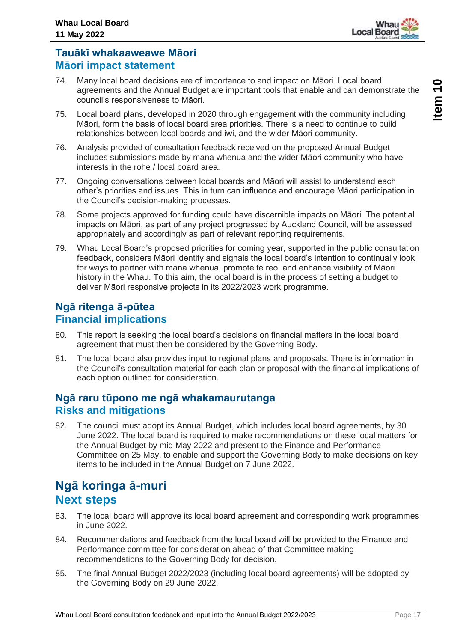

### **Tauākī whakaaweawe Māori Māori impact statement**

- 74. Many local board decisions are of importance to and impact on Māori. Local board agreements and the Annual Budget are important tools that enable and can demonstrate the council's responsiveness to Māori.
- 75. Local board plans, developed in 2020 through engagement with the community including Māori, form the basis of local board area priorities. There is a need to continue to build relationships between local boards and iwi, and the wider Māori community.
- 76. Analysis provided of consultation feedback received on the proposed Annual Budget includes submissions made by mana whenua and the wider Māori community who have interests in the rohe / local board area.
- 77. Ongoing conversations between local boards and Māori will assist to understand each other's priorities and issues. This in turn can influence and encourage Māori participation in the Council's decision-making processes.
- 78. Some projects approved for funding could have discernible impacts on Māori. The potential impacts on Māori, as part of any project progressed by Auckland Council, will be assessed appropriately and accordingly as part of relevant reporting requirements.
- 79. Whau Local Board's proposed priorities for coming year, supported in the public consultation feedback, considers Māori identity and signals the local board's intention to continually look for ways to partner with mana whenua, promote te reo, and enhance visibility of Māori history in the Whau. To this aim, the local board is in the process of setting a budget to deliver Māori responsive projects in its 2022/2023 work programme.

## **Ngā ritenga ā-pūtea Financial implications**

- 80. This report is seeking the local board's decisions on financial matters in the local board agreement that must then be considered by the Governing Body.
- 81. The local board also provides input to regional plans and proposals. There is information in the Council's consultation material for each plan or proposal with the financial implications of each option outlined for consideration.

### **Ngā raru tūpono me ngā whakamaurutanga Risks and mitigations**

82. The council must adopt its Annual Budget, which includes local board agreements, by 30 June 2022. The local board is required to make recommendations on these local matters for the Annual Budget by mid May 2022 and present to the Finance and Performance Committee on 25 May, to enable and support the Governing Body to make decisions on key items to be included in the Annual Budget on 7 June 2022.

## **Ngā koringa ā-muri Next steps**

- 83. The local board will approve its local board agreement and corresponding work programmes in June 2022.
- 84. Recommendations and feedback from the local board will be provided to the Finance and Performance committee for consideration ahead of that Committee making recommendations to the Governing Body for decision.
- 85. The final Annual Budget 2022/2023 (including local board agreements) will be adopted by the Governing Body on 29 June 2022.